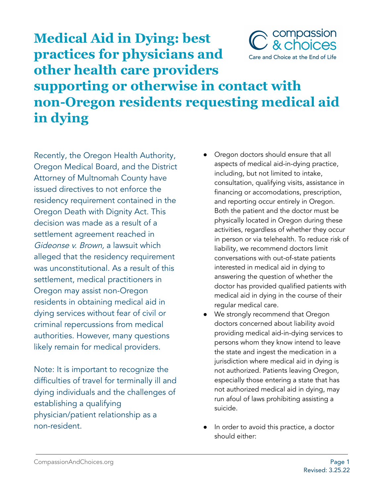

## **Medical Aid in Dying: best practices for physicians and other health care providers supporting or otherwise in contact with non-Oregon residents requesting medical aid in dying**

Recently, the Oregon Health Authority, Oregon Medical Board, and the District Attorney of Multnomah County have issued directives to not enforce the residency requirement contained in the Oregon Death with Dignity Act. This decision was made as a result of a settlement agreement reached in Gideonse v. Brown, a lawsuit which alleged that the residency requirement was unconstitutional. As a result of this settlement, medical practitioners in Oregon may assist non-Oregon residents in obtaining medical aid in dying services without fear of civil or criminal repercussions from medical authorities. However, many questions likely remain for medical providers.

Note: It is important to recognize the difficulties of travel for terminally ill and dying individuals and the challenges of establishing a qualifying physician/patient relationship as a non-resident.

- Oregon doctors should ensure that all aspects of medical aid-in-dying practice, including, but not limited to intake, consultation, qualifying visits, assistance in financing or accomodations, prescription, and reporting occur entirely in Oregon. Both the patient and the doctor must be physically located in Oregon during these activities, regardless of whether they occur in person or via telehealth. To reduce risk of liability, we recommend doctors limit conversations with out-of-state patients interested in medical aid in dying to answering the question of whether the doctor has provided qualified patients with medical aid in dying in the course of their regular medical care.
- We strongly recommend that Oregon doctors concerned about liability avoid providing medical aid-in-dying services to persons whom they know intend to leave the state and ingest the medication in a jurisdiction where medical aid in dying is not authorized. Patients leaving Oregon, especially those entering a state that has not authorized medical aid in dying, may run afoul of laws prohibiting assisting a suicide.
- In order to avoid this practice, a doctor should either: